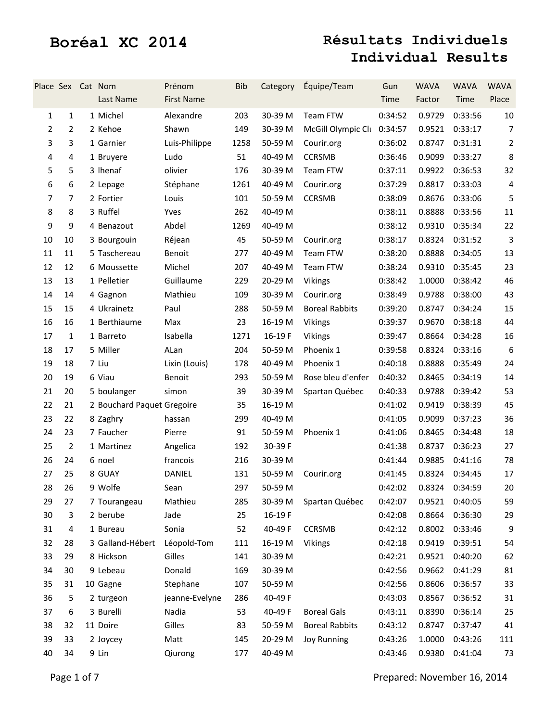| Place Sex Cat Nom |                | Last Name                  | Prénom<br><b>First Name</b> | <b>Bib</b> | Category | Équipe/Team                | Gun<br>Time | <b>WAVA</b><br>Factor    | <b>WAVA</b><br>Time | <b>WAVA</b><br>Place |
|-------------------|----------------|----------------------------|-----------------------------|------------|----------|----------------------------|-------------|--------------------------|---------------------|----------------------|
| $\mathbf{1}$      | $\mathbf{1}$   | 1 Michel                   | Alexandre                   | 203        | 30-39 M  | Team FTW                   | 0:34:52     | 0.9729                   | 0:33:56             | 10                   |
| $\overline{2}$    | $\overline{2}$ | 2 Kehoe                    | Shawn                       | 149        | 30-39 M  | McGill Olympic Cli 0:34:57 |             | 0.9521                   | 0:33:17             | $\overline{7}$       |
| 3                 | 3              | 1 Garnier                  | Luis-Philippe               | 1258       | 50-59 M  | Courir.org                 | 0:36:02     | 0.8747                   | 0:31:31             | $\overline{2}$       |
| 4                 | 4              | 1 Bruyere                  | Ludo                        | 51         | 40-49 M  | <b>CCRSMB</b>              | 0:36:46     | 0.9099                   | 0:33:27             | 8                    |
| 5                 | 5              | 3 Ihenaf                   | olivier                     | 176        | 30-39 M  | Team FTW                   | 0:37:11     | 0.9922                   | 0:36:53             | 32                   |
| 6                 | 6              | 2 Lepage                   | Stéphane                    | 1261       | 40-49 M  | Courir.org                 | 0:37:29     | 0.8817                   | 0:33:03             | 4                    |
| 7                 | $\overline{7}$ | 2 Fortier                  | Louis                       | 101        | 50-59 M  | <b>CCRSMB</b>              | 0:38:09     | 0.8676                   | 0:33:06             | 5                    |
| 8                 | 8              | 3 Ruffel                   | Yves                        | 262        | 40-49 M  |                            | 0:38:11     | 0.8888                   | 0:33:56             | 11                   |
| 9                 | 9              | 4 Benazout                 | Abdel                       | 1269       | 40-49 M  |                            | 0:38:12     | 0.9310                   | 0:35:34             | 22                   |
| 10                | 10             | 3 Bourgouin                | Réjean                      | 45         | 50-59 M  | Courir.org                 | 0:38:17     | 0.8324                   | 0:31:52             | 3                    |
| 11                | 11             | 5 Taschereau               | Benoit                      | 277        | 40-49 M  | Team FTW                   | 0:38:20     | 0.8888                   | 0:34:05             | 13                   |
| 12                | 12             | 6 Moussette                | Michel                      | 207        | 40-49 M  | Team FTW                   | 0:38:24     | 0.9310                   | 0:35:45             | 23                   |
| 13                | 13             | 1 Pelletier                | Guillaume                   | 229        | 20-29 M  | Vikings                    | 0:38:42     | 1.0000                   | 0:38:42             | 46                   |
| 14                | 14             | 4 Gagnon                   | Mathieu                     | 109        | 30-39 M  | Courir.org                 | 0:38:49     | 0.9788                   | 0:38:00             | 43                   |
| 15                | 15             | 4 Ukrainetz                | Paul                        | 288        | 50-59 M  | <b>Boreal Rabbits</b>      | 0:39:20     | 0.8747                   | 0:34:24             | 15                   |
| 16                | 16             | 1 Berthiaume               | Max                         | 23         | 16-19 M  | Vikings                    | 0:39:37     | 0.9670                   | 0:38:18             | 44                   |
| 17                | $\mathbf{1}$   | 1 Barreto                  | Isabella                    | 1271       | 16-19 F  | Vikings                    | 0:39:47     | 0.8664                   | 0:34:28             | 16                   |
| 18                | 17             | 5 Miller                   | ALan                        | 204        | 50-59 M  | Phoenix 1                  | 0:39:58     | 0.8324                   | 0:33:16             | $\sqrt{6}$           |
| 19                | 18             | 7 Liu                      | Lixin (Louis)               | 178        | 40-49 M  | Phoenix 1                  | 0:40:18     | 0.8888                   | 0:35:49             | 24                   |
| 20                | 19             | 6 Viau                     | Benoit                      | 293        | 50-59 M  | Rose bleu d'enfer          | 0:40:32     | 0.8465                   | 0:34:19             | 14                   |
| 21                | 20             | 5 boulanger                | simon                       | 39         | 30-39 M  | Spartan Québec             | 0:40:33     | 0.9788                   | 0:39:42             | 53                   |
| 22                | 21             | 2 Bouchard Paquet Gregoire |                             | 35         | 16-19 M  |                            | 0:41:02     | 0.9419                   | 0:38:39             | 45                   |
| 23                | 22             | 8 Zaghry                   | hassan                      | 299        | 40-49 M  |                            | 0:41:05     | 0.9099                   | 0:37:23             | 36                   |
| 24                | 23             | 7 Faucher                  | Pierre                      | 91         | 50-59 M  | Phoenix 1                  | 0:41:06     | 0.8465                   | 0:34:48             | 18                   |
| 25                | $\overline{2}$ | 1 Martinez                 | Angelica                    | 192        | 30-39 F  |                            | 0:41:38     | 0.8737                   | 0:36:23             | 27                   |
| 26                | 24             | 6 noel                     | francois                    | 216        | 30-39 M  |                            | 0:41:44     | 0.9885                   | 0:41:16             | 78                   |
| 27                | 25             | 8 GUAY                     | DANIEL                      | 131        | 50-59 M  | Courir.org                 | 0:41:45     | 0.8324                   | 0:34:45             | 17                   |
| 28                | 26             | 9 Wolfe                    | Sean                        | 297        | 50-59 M  |                            |             | 0:42:02  0.8324  0:34:59 |                     | 20                   |
| 29                | 27             | 7 Tourangeau               | Mathieu                     | 285        | 30-39 M  | Spartan Québec             | 0:42:07     | 0.9521                   | 0:40:05             | 59                   |
| 30                | 3              | 2 berube                   | Jade                        | 25         | 16-19F   |                            | 0:42:08     | 0.8664                   | 0:36:30             | 29                   |
| 31                | 4              | 1 Bureau                   | Sonia                       | 52         | 40-49 F  | <b>CCRSMB</b>              | 0:42:12     | 0.8002                   | 0:33:46             | 9                    |
| 32                | 28             | 3 Galland-Hébert           | Léopold-Tom                 | 111        | 16-19 M  | <b>Vikings</b>             | 0:42:18     | 0.9419                   | 0:39:51             | 54                   |
| 33                | 29             | 8 Hickson                  | Gilles                      | 141        | 30-39 M  |                            | 0:42:21     | 0.9521                   | 0:40:20             | 62                   |
| 34                | 30             | 9 Lebeau                   | Donald                      | 169        | 30-39 M  |                            | 0:42:56     | 0.9662                   | 0:41:29             | 81                   |
| 35                | 31             | 10 Gagne                   | Stephane                    | 107        | 50-59 M  |                            | 0:42:56     | 0.8606                   | 0:36:57             | 33                   |
| 36                | 5              | 2 turgeon                  | jeanne-Evelyne              | 286        | 40-49 F  |                            | 0:43:03     | 0.8567                   | 0:36:52             | 31                   |
| 37                | 6              | 3 Burelli                  | Nadia                       | 53         | 40-49 F  | <b>Boreal Gals</b>         | 0:43:11     | 0.8390                   | 0:36:14             | 25                   |
| 38                | 32             | 11 Doire                   | Gilles                      | 83         | 50-59 M  | <b>Boreal Rabbits</b>      | 0:43:12     | 0.8747                   | 0:37:47             | 41                   |
| 39                | 33             | 2 Joycey                   | Matt                        | 145        | 20-29 M  | <b>Joy Running</b>         | 0:43:26     | 1.0000                   | 0:43:26             | 111                  |
| 40                | 34             | 9 Lin                      | Qiurong                     | 177        | 40-49 M  |                            | 0:43:46     | 0.9380                   | 0:41:04             | 73                   |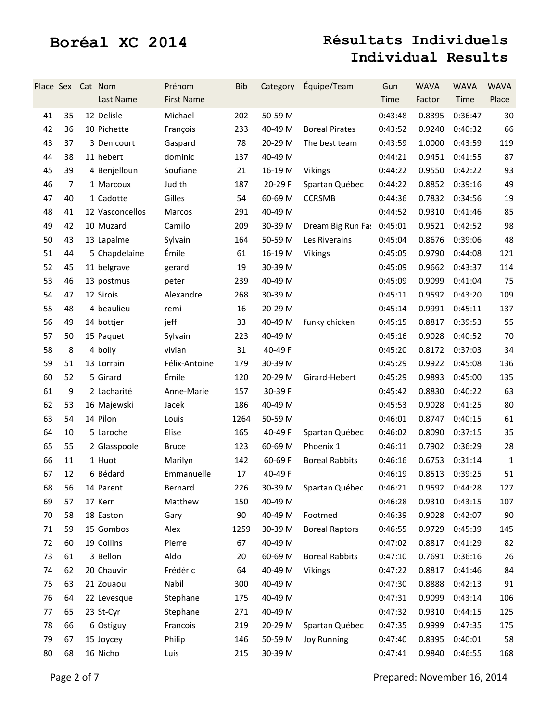| Place Sex Cat Nom |                | Last Name       | Prénom<br><b>First Name</b> | <b>Bib</b> | Category | Équipe/Team               | Gun<br>Time | <b>WAVA</b><br>Factor | <b>WAVA</b><br>Time | <b>WAVA</b><br>Place |
|-------------------|----------------|-----------------|-----------------------------|------------|----------|---------------------------|-------------|-----------------------|---------------------|----------------------|
| 41                | 35             | 12 Delisle      | Michael                     | 202        | 50-59 M  |                           | 0:43:48     | 0.8395                | 0:36:47             | 30                   |
| 42                | 36             | 10 Pichette     | François                    | 233        | 40-49 M  | <b>Boreal Pirates</b>     | 0:43:52     | 0.9240                | 0:40:32             | 66                   |
| 43                | 37             | 3 Denicourt     | Gaspard                     | 78         | 20-29 M  | The best team             | 0:43:59     | 1.0000                | 0:43:59             | 119                  |
| 44                | 38             | 11 hebert       | dominic                     | 137        | 40-49 M  |                           | 0:44:21     | 0.9451                | 0:41:55             | 87                   |
| 45                | 39             | 4 Benjelloun    | Soufiane                    | 21         | 16-19 M  | <b>Vikings</b>            | 0:44:22     | 0.9550                | 0:42:22             | 93                   |
| 46                | $\overline{7}$ | 1 Marcoux       | Judith                      | 187        | 20-29 F  | Spartan Québec            | 0:44:22     | 0.8852                | 0:39:16             | 49                   |
| 47                | 40             | 1 Cadotte       | Gilles                      | 54         | 60-69 M  | <b>CCRSMB</b>             | 0:44:36     | 0.7832                | 0:34:56             | 19                   |
| 48                | 41             | 12 Vasconcellos | Marcos                      | 291        | 40-49 M  |                           | 0:44:52     | 0.9310                | 0:41:46             | 85                   |
| 49                | 42             | 10 Muzard       | Camilo                      | 209        | 30-39 M  | Dream Big Run Fa: 0:45:01 |             | 0.9521                | 0:42:52             | 98                   |
| 50                | 43             | 13 Lapalme      | Sylvain                     | 164        | 50-59 M  | Les Riverains             | 0:45:04     | 0.8676                | 0:39:06             | 48                   |
| 51                | 44             | 5 Chapdelaine   | Émile                       | 61         | 16-19 M  | Vikings                   | 0:45:05     | 0.9790                | 0:44:08             | 121                  |
| 52                | 45             | 11 belgrave     | gerard                      | 19         | 30-39 M  |                           | 0:45:09     | 0.9662                | 0:43:37             | 114                  |
| 53                | 46             | 13 postmus      | peter                       | 239        | 40-49 M  |                           | 0:45:09     | 0.9099                | 0:41:04             | 75                   |
| 54                | 47             | 12 Sirois       | Alexandre                   | 268        | 30-39 M  |                           | 0:45:11     | 0.9592                | 0:43:20             | 109                  |
| 55                | 48             | 4 beaulieu      | remi                        | 16         | 20-29 M  |                           | 0:45:14     | 0.9991                | 0:45:11             | 137                  |
| 56                | 49             | 14 bottjer      | jeff                        | 33         | 40-49 M  | funky chicken             | 0:45:15     | 0.8817                | 0:39:53             | 55                   |
| 57                | 50             | 15 Paquet       | Sylvain                     | 223        | 40-49 M  |                           | 0:45:16     | 0.9028                | 0:40:52             | 70                   |
| 58                | 8              | 4 boily         | vivian                      | 31         | 40-49 F  |                           | 0:45:20     | 0.8172                | 0:37:03             | 34                   |
| 59                | 51             | 13 Lorrain      | Félix-Antoine               | 179        | 30-39 M  |                           | 0:45:29     | 0.9922                | 0:45:08             | 136                  |
| 60                | 52             | 5 Girard        | Émile                       | 120        | 20-29 M  | Girard-Hebert             | 0:45:29     | 0.9893                | 0:45:00             | 135                  |
| 61                | 9              | 2 Lacharité     | Anne-Marie                  | 157        | 30-39 F  |                           | 0:45:42     | 0.8830                | 0:40:22             | 63                   |
| 62                | 53             | 16 Majewski     | Jacek                       | 186        | 40-49 M  |                           | 0:45:53     | 0.9028                | 0:41:25             | 80                   |
| 63                | 54             | 14 Pilon        | Louis                       | 1264       | 50-59 M  |                           | 0:46:01     | 0.8747                | 0:40:15             | 61                   |
| 64                | 10             | 5 Laroche       | Elise                       | 165        | 40-49 F  | Spartan Québec            | 0:46:02     | 0.8090                | 0:37:15             | 35                   |
| 65                | 55             | 2 Glasspoole    | <b>Bruce</b>                | 123        | 60-69 M  | Phoenix 1                 | 0:46:11     | 0.7902                | 0:36:29             | 28                   |
| 66                | 11             | 1 Huot          | Marilyn                     | 142        | 60-69 F  | <b>Boreal Rabbits</b>     | 0:46:16     | 0.6753                | 0:31:14             | 1                    |
| 67                | 12             | 6 Bédard        | Emmanuelle                  | 17         | 40-49 F  |                           | 0:46:19     | 0.8513                | 0:39:25             | 51                   |
| 68                | 56             | 14 Parent       | Bernard                     | 226        |          | 30-39 M Spartan Québec    | 0:46:21     |                       | 0.9592 0:44:28      | 127                  |
| 69                | 57             | 17 Kerr         | Matthew                     | 150        | 40-49 M  |                           | 0:46:28     | 0.9310                | 0:43:15             | 107                  |
| 70                | 58             | 18 Easton       | Gary                        | 90         | 40-49 M  | Footmed                   | 0:46:39     | 0.9028                | 0:42:07             | 90                   |
| 71                | 59             | 15 Gombos       | Alex                        | 1259       | 30-39 M  | <b>Boreal Raptors</b>     | 0:46:55     | 0.9729                | 0:45:39             | 145                  |
| 72                | 60             | 19 Collins      | Pierre                      | 67         | 40-49 M  |                           | 0:47:02     | 0.8817                | 0:41:29             | 82                   |
| 73                | 61             | 3 Bellon        | Aldo                        | 20         | 60-69 M  | <b>Boreal Rabbits</b>     | 0:47:10     | 0.7691                | 0:36:16             | 26                   |
| 74                | 62             | 20 Chauvin      | Frédéric                    | 64         | 40-49 M  | <b>Vikings</b>            | 0:47:22     | 0.8817                | 0:41:46             | 84                   |
| 75                | 63             | 21 Zouaoui      | Nabil                       | 300        | 40-49 M  |                           | 0:47:30     | 0.8888                | 0:42:13             | 91                   |
| 76                | 64             | 22 Levesque     | Stephane                    | 175        | 40-49 M  |                           | 0:47:31     | 0.9099                | 0:43:14             | 106                  |
| 77                | 65             | 23 St-Cyr       | Stephane                    | 271        | 40-49 M  |                           | 0:47:32     | 0.9310                | 0:44:15             | 125                  |
| 78                | 66             | 6 Ostiguy       | Francois                    | 219        | 20-29 M  | Spartan Québec            | 0:47:35     | 0.9999                | 0:47:35             | 175                  |
| 79                | 67             | 15 Joycey       | Philip                      | 146        | 50-59 M  | <b>Joy Running</b>        | 0:47:40     | 0.8395                | 0:40:01             | 58                   |
| 80                | 68             | 16 Nicho        | Luis                        | 215        | 30-39 M  |                           | 0:47:41     | 0.9840                | 0:46:55             | 168                  |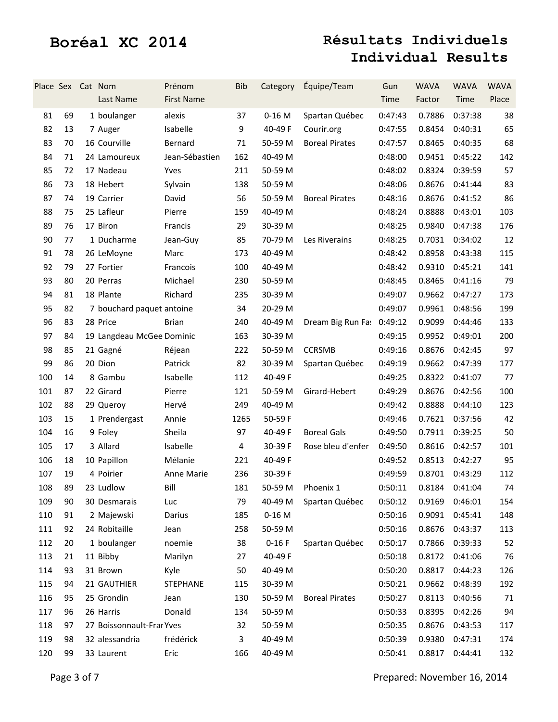| Place Sex Cat Nom |    | Last Name                 | Prénom<br><b>First Name</b> | <b>Bib</b> | Category | Équipe/Team               | Gun<br>Time | <b>WAVA</b><br>Factor        | <b>WAVA</b><br>Time | <b>WAVA</b><br>Place |
|-------------------|----|---------------------------|-----------------------------|------------|----------|---------------------------|-------------|------------------------------|---------------------|----------------------|
| 81                | 69 | 1 boulanger               | alexis                      | 37         | $0-16$ M | Spartan Québec            | 0:47:43     | 0.7886                       | 0:37:38             | 38                   |
| 82                | 13 | 7 Auger                   | Isabelle                    | 9          | 40-49 F  | Courir.org                | 0:47:55     | 0.8454                       | 0:40:31             | 65                   |
| 83                | 70 | 16 Courville              | Bernard                     | 71         | 50-59 M  | <b>Boreal Pirates</b>     | 0:47:57     | 0.8465                       | 0:40:35             | 68                   |
| 84                | 71 | 24 Lamoureux              | Jean-Sébastien              | 162        | 40-49 M  |                           | 0:48:00     | 0.9451                       | 0:45:22             | 142                  |
| 85                | 72 | 17 Nadeau                 | Yves                        | 211        | 50-59 M  |                           | 0:48:02     | 0.8324                       | 0:39:59             | 57                   |
| 86                | 73 | 18 Hebert                 | Sylvain                     | 138        | 50-59 M  |                           | 0:48:06     | 0.8676                       | 0:41:44             | 83                   |
| 87                | 74 | 19 Carrier                | David                       | 56         | 50-59 M  | <b>Boreal Pirates</b>     | 0:48:16     | 0.8676                       | 0:41:52             | 86                   |
| 88                | 75 | 25 Lafleur                | Pierre                      | 159        | 40-49 M  |                           | 0:48:24     | 0.8888                       | 0:43:01             | 103                  |
| 89                | 76 | 17 Biron                  | Francis                     | 29         | 30-39 M  |                           | 0:48:25     | 0.9840                       | 0:47:38             | 176                  |
| 90                | 77 | 1 Ducharme                | Jean-Guy                    | 85         | 70-79 M  | Les Riverains             | 0:48:25     | 0.7031                       | 0:34:02             | 12                   |
| 91                | 78 | 26 LeMoyne                | Marc                        | 173        | 40-49 M  |                           | 0:48:42     | 0.8958                       | 0:43:38             | 115                  |
| 92                | 79 | 27 Fortier                | Francois                    | 100        | 40-49 M  |                           | 0:48:42     | 0.9310                       | 0:45:21             | 141                  |
| 93                | 80 | 20 Perras                 | Michael                     | 230        | 50-59 M  |                           | 0:48:45     | 0.8465                       | 0:41:16             | 79                   |
| 94                | 81 | 18 Plante                 | Richard                     | 235        | 30-39 M  |                           | 0:49:07     | 0.9662                       | 0:47:27             | 173                  |
| 95                | 82 | 7 bouchard paquet antoine |                             | 34         | 20-29 M  |                           | 0:49:07     | 0.9961                       | 0:48:56             | 199                  |
| 96                | 83 | 28 Price                  | <b>Brian</b>                | 240        | 40-49 M  | Dream Big Run Fa: 0:49:12 |             | 0.9099                       | 0:44:46             | 133                  |
| 97                | 84 | 19 Langdeau McGee Dominic |                             | 163        | 30-39 M  |                           | 0:49:15     | 0.9952                       | 0:49:01             | 200                  |
| 98                | 85 | 21 Gagné                  | Réjean                      | 222        | 50-59 M  | <b>CCRSMB</b>             | 0:49:16     | 0.8676                       | 0:42:45             | 97                   |
| 99                | 86 | 20 Dion                   | Patrick                     | 82         | 30-39 M  | Spartan Québec            | 0:49:19     | 0.9662                       | 0:47:39             | 177                  |
| 100               | 14 | 8 Gambu                   | Isabelle                    | 112        | 40-49 F  |                           | 0:49:25     | 0.8322                       | 0:41:07             | 77                   |
| 101               | 87 | 22 Girard                 | Pierre                      | 121        | 50-59 M  | Girard-Hebert             | 0:49:29     | 0.8676                       | 0:42:56             | 100                  |
| 102               | 88 | 29 Queroy                 | Hervé                       | 249        | 40-49 M  |                           | 0:49:42     | 0.8888                       | 0:44:10             | 123                  |
| 103               | 15 | 1 Prendergast             | Annie                       | 1265       | 50-59 F  |                           | 0:49:46     | 0.7621                       | 0:37:56             | 42                   |
| 104               | 16 | 9 Foley                   | Sheila                      | 97         | 40-49 F  | <b>Boreal Gals</b>        | 0:49:50     | 0.7911                       | 0:39:25             | 50                   |
| 105               | 17 | 3 Allard                  | Isabelle                    | 4          | 30-39 F  | Rose bleu d'enfer         | 0:49:50     | 0.8616                       | 0:42:57             | 101                  |
| 106               | 18 | 10 Papillon               | Mélanie                     | 221        | 40-49 F  |                           | 0:49:52     | 0.8513                       | 0:42:27             | 95                   |
| 107               | 19 | 4 Poirier                 | Anne Marie                  | 236        | 30-39 F  |                           | 0:49:59     | 0.8701                       | 0:43:29             | 112                  |
| 108               | 89 | 23 Ludlow                 | Bill                        | 181        |          | 50-59 M Phoenix 1         |             | $0:50:11$ $0.8184$ $0:41:04$ |                     | 74                   |
| 109               | 90 | 30 Desmarais              | Luc                         | 79         | 40-49 M  | Spartan Québec            | 0:50:12     | 0.9169                       | 0:46:01             | 154                  |
| 110               | 91 | 2 Majewski                | Darius                      | 185        | $0-16$ M |                           | 0:50:16     | 0.9091                       | 0:45:41             | 148                  |
| 111               | 92 | 24 Robitaille             | Jean                        | 258        | 50-59 M  |                           | 0:50:16     | 0.8676                       | 0:43:37             | 113                  |
| 112               | 20 | 1 boulanger               | noemie                      | 38         | $0-16F$  | Spartan Québec            | 0:50:17     | 0.7866                       | 0:39:33             | 52                   |
| 113               | 21 | 11 Bibby                  | Marilyn                     | 27         | 40-49 F  |                           | 0:50:18     | 0.8172                       | 0:41:06             | 76                   |
| 114               | 93 | 31 Brown                  | Kyle                        | 50         | 40-49 M  |                           | 0:50:20     | 0.8817                       | 0:44:23             | 126                  |
| 115               | 94 | 21 GAUTHIER               | <b>STEPHANE</b>             | 115        | 30-39 M  |                           | 0:50:21     | 0.9662                       | 0:48:39             | 192                  |
| 116               | 95 | 25 Grondin                | Jean                        | 130        | 50-59 M  | <b>Boreal Pirates</b>     | 0:50:27     | 0.8113                       | 0:40:56             | 71                   |
| 117               | 96 | 26 Harris                 | Donald                      | 134        | 50-59 M  |                           | 0:50:33     | 0.8395                       | 0:42:26             | 94                   |
| 118               | 97 | 27 Boissonnault-Frai Yves |                             | 32         | 50-59 M  |                           | 0:50:35     | 0.8676                       | 0:43:53             | 117                  |
| 119               | 98 | 32 alessandria            | frédérick                   | 3          | 40-49 M  |                           | 0:50:39     | 0.9380                       | 0:47:31             | 174                  |
| 120               | 99 | 33 Laurent                | Eric                        | 166        | 40-49 M  |                           | 0:50:41     | 0.8817                       | 0:44:41             | 132                  |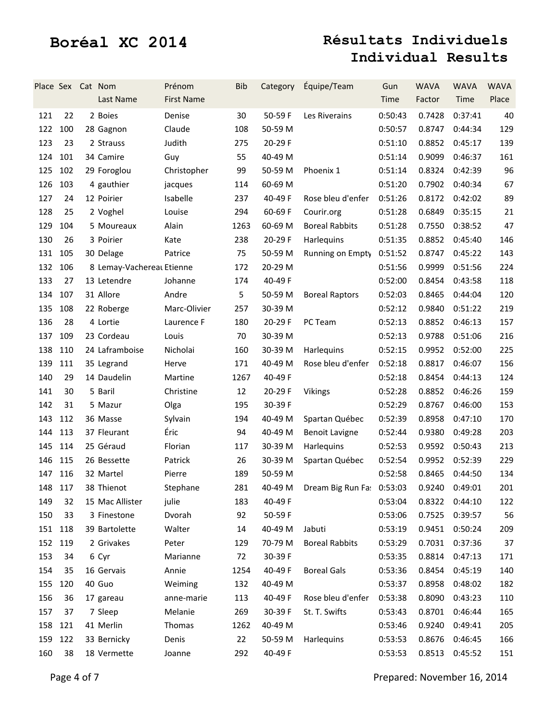|         |     | Place Sex Cat Nom | Last Name                 | Prénom<br><b>First Name</b> | <b>Bib</b> | Category | Équipe/Team                                      | Gun<br>Time | <b>WAVA</b><br>Factor | <b>WAVA</b><br>Time | <b>WAVA</b><br>Place |
|---------|-----|-------------------|---------------------------|-----------------------------|------------|----------|--------------------------------------------------|-------------|-----------------------|---------------------|----------------------|
| 121     | 22  |                   | 2 Boies                   | Denise                      | 30         | 50-59F   | Les Riverains                                    | 0:50:43     | 0.7428                | 0:37:41             | 40                   |
| 122     | 100 |                   | 28 Gagnon                 | Claude                      | 108        | 50-59 M  |                                                  | 0:50:57     | 0.8747                | 0:44:34             | 129                  |
| 123     | 23  |                   | 2 Strauss                 | Judith                      | 275        | 20-29 F  |                                                  | 0:51:10     | 0.8852                | 0:45:17             | 139                  |
| 124     | 101 |                   | 34 Camire                 | Guy                         | 55         | 40-49 M  |                                                  | 0:51:14     | 0.9099                | 0:46:37             | 161                  |
| 125     | 102 |                   | 29 Foroglou               | Christopher                 | 99         | 50-59 M  | Phoenix 1                                        | 0:51:14     | 0.8324                | 0:42:39             | 96                   |
| 126     | 103 |                   | 4 gauthier                | jacques                     | 114        | 60-69 M  |                                                  | 0:51:20     | 0.7902                | 0:40:34             | 67                   |
| 127     | 24  |                   | 12 Poirier                | Isabelle                    | 237        | 40-49 F  | Rose bleu d'enfer                                | 0:51:26     | 0.8172                | 0:42:02             | 89                   |
| 128     | 25  |                   | 2 Voghel                  | Louise                      | 294        | 60-69 F  | Courir.org                                       | 0:51:28     | 0.6849                | 0:35:15             | 21                   |
| 129     | 104 |                   | 5 Moureaux                | Alain                       | 1263       | 60-69 M  | <b>Boreal Rabbits</b>                            | 0:51:28     | 0.7550                | 0:38:52             | 47                   |
| 130     | 26  |                   | 3 Poirier                 | Kate                        | 238        | 20-29 F  | Harlequins                                       | 0:51:35     | 0.8852                | 0:45:40             | 146                  |
| 131     | 105 |                   | 30 Delage                 | Patrice                     | 75         | 50-59 M  | Running on Empty                                 | 0:51:52     | 0.8747                | 0:45:22             | 143                  |
| 132     | 106 |                   | 8 Lemay-Vachereal Etienne |                             | 172        | 20-29 M  |                                                  | 0:51:56     | 0.9999                | 0:51:56             | 224                  |
| 133     | 27  |                   | 13 Letendre               | Johanne                     | 174        | 40-49 F  |                                                  | 0:52:00     | 0.8454                | 0:43:58             | 118                  |
| 134     | 107 |                   | 31 Allore                 | Andre                       | 5          | 50-59 M  | <b>Boreal Raptors</b>                            | 0:52:03     | 0.8465                | 0:44:04             | 120                  |
| 135     | 108 |                   | 22 Roberge                | Marc-Olivier                | 257        | 30-39 M  |                                                  | 0:52:12     | 0.9840                | 0:51:22             | 219                  |
| 136     | 28  |                   | 4 Lortie                  | Laurence F                  | 180        | 20-29 F  | PC Team                                          | 0:52:13     | 0.8852                | 0:46:13             | 157                  |
| 137     | 109 |                   | 23 Cordeau                | Louis                       | 70         | 30-39 M  |                                                  | 0:52:13     | 0.9788                | 0:51:06             | 216                  |
| 138     | 110 |                   | 24 Laframboise            | Nicholai                    | 160        | 30-39 M  | Harlequins                                       | 0:52:15     | 0.9952                | 0:52:00             | 225                  |
| 139     | 111 |                   | 35 Legrand                | Herve                       | 171        | 40-49 M  | Rose bleu d'enfer                                | 0:52:18     | 0.8817                | 0:46:07             | 156                  |
| 140     | 29  |                   | 14 Daudelin               | Martine                     | 1267       | 40-49 F  |                                                  | 0:52:18     | 0.8454                | 0:44:13             | 124                  |
| 141     | 30  |                   | 5 Baril                   | Christine                   | 12         | 20-29 F  | <b>Vikings</b>                                   | 0:52:28     | 0.8852                | 0:46:26             | 159                  |
| 142     | 31  |                   | 5 Mazur                   | Olga                        | 195        | 30-39 F  |                                                  | 0:52:29     | 0.8767                | 0:46:00             | 153                  |
| 143     | 112 |                   | 36 Masse                  | Sylvain                     | 194        | 40-49 M  | Spartan Québec                                   | 0:52:39     | 0.8958                | 0:47:10             | 170                  |
| 144     | 113 |                   | 37 Fleurant               | Éric                        | 94         | 40-49 M  | <b>Benoit Lavigne</b>                            | 0:52:44     | 0.9380                | 0:49:28             | 203                  |
| 145     | 114 |                   | 25 Géraud                 | Florian                     | 117        | 30-39 M  | <b>Harlequins</b>                                | 0:52:53     | 0.9592                | 0:50:43             | 213                  |
| 146     | 115 |                   | 26 Bessette               | Patrick                     | 26         | 30-39 M  | Spartan Québec                                   | 0:52:54     | 0.9952                | 0:52:39             | 229                  |
| 147 116 |     |                   | 32 Martel                 | Pierre                      | 189        | 50-59 M  |                                                  | 0:52:58     | 0.8465                | 0:44:50             | 134                  |
| 148 117 |     |                   | 38 Thienot                | Stephane                    | 281        |          | 40-49 M Dream Big Run Fa: 0:53:03 0.9240 0:49:01 |             |                       |                     | 201                  |
| 149     | 32  |                   | 15 Mac Allister           | julie                       | 183        | 40-49 F  |                                                  | 0:53:04     | 0.8322                | 0:44:10             | 122                  |
| 150     | 33  |                   | 3 Finestone               | Dvorah                      | 92         | 50-59F   |                                                  | 0:53:06     | 0.7525                | 0:39:57             | 56                   |
| 151 118 |     |                   | 39 Bartolette             | Walter                      | 14         | 40-49 M  | Jabuti                                           | 0:53:19     | 0.9451                | 0:50:24             | 209                  |
| 152 119 |     |                   | 2 Grivakes                | Peter                       | 129        | 70-79 M  | <b>Boreal Rabbits</b>                            | 0:53:29     | 0.7031                | 0:37:36             | 37                   |
| 153     | 34  | 6 Cyr             |                           | Marianne                    | 72         | 30-39 F  |                                                  | 0:53:35     | 0.8814                | 0:47:13             | 171                  |
| 154     | 35  |                   | 16 Gervais                | Annie                       | 1254       | 40-49 F  | <b>Boreal Gals</b>                               | 0:53:36     | 0.8454                | 0:45:19             | 140                  |
| 155     | 120 | 40 Guo            |                           | Weiming                     | 132        | 40-49 M  |                                                  | 0:53:37     | 0.8958                | 0:48:02             | 182                  |
| 156     | 36  |                   | 17 gareau                 | anne-marie                  | 113        | 40-49 F  | Rose bleu d'enfer                                | 0:53:38     | 0.8090                | 0:43:23             | 110                  |
| 157     | 37  |                   | 7 Sleep                   | Melanie                     | 269        | 30-39 F  | St. T. Swifts                                    | 0:53:43     | 0.8701                | 0:46:44             | 165                  |
| 158     | 121 |                   | 41 Merlin                 | Thomas                      | 1262       | 40-49 M  |                                                  | 0:53:46     | 0.9240                | 0:49:41             | 205                  |
| 159     | 122 |                   | 33 Bernicky               | Denis                       | 22         | 50-59 M  | Harlequins                                       | 0:53:53     | 0.8676                | 0:46:45             | 166                  |
| 160     | 38  |                   | 18 Vermette               | Joanne                      | 292        | 40-49 F  |                                                  | 0:53:53     | 0.8513                | 0:45:52             | 151                  |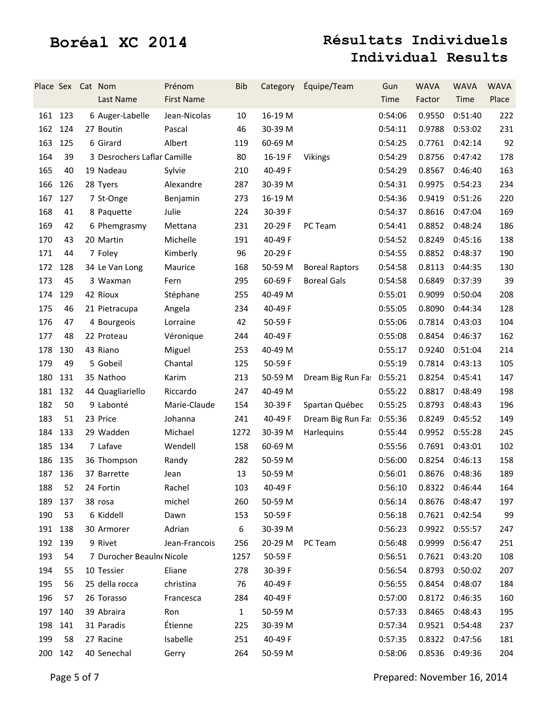| Place Sex Cat Nom |     | Last Name                   | Prénom<br><b>First Name</b> | <b>Bib</b>   | Category | Équipe/Team               | Gun<br>Time | <b>WAVA</b><br>Factor    | <b>WAVA</b><br>Time | <b>WAVA</b><br>Place |
|-------------------|-----|-----------------------------|-----------------------------|--------------|----------|---------------------------|-------------|--------------------------|---------------------|----------------------|
| 161 123           |     | 6 Auger-Labelle             | Jean-Nicolas                | 10           | 16-19 M  |                           | 0:54:06     | 0.9550                   | 0:51:40             | 222                  |
| 162 124           |     | 27 Boutin                   | Pascal                      | 46           | 30-39 M  |                           | 0:54:11     | 0.9788                   | 0:53:02             | 231                  |
| 163               | 125 | 6 Girard                    | Albert                      | 119          | 60-69 M  |                           | 0:54:25     | 0.7761                   | 0:42:14             | 92                   |
| 164               | 39  | 3 Desrochers Laflar Camille |                             | 80           | 16-19 F  | Vikings                   | 0:54:29     | 0.8756                   | 0:47:42             | 178                  |
| 165               | 40  | 19 Nadeau                   | Sylvie                      | 210          | 40-49 F  |                           | 0:54:29     | 0.8567                   | 0:46:40             | 163                  |
| 166               | 126 | 28 Tyers                    | Alexandre                   | 287          | 30-39 M  |                           | 0:54:31     | 0.9975                   | 0:54:23             | 234                  |
| 167               | 127 | 7 St-Onge                   | Benjamin                    | 273          | 16-19 M  |                           | 0:54:36     | 0.9419                   | 0:51:26             | 220                  |
| 168               | 41  | 8 Paquette                  | Julie                       | 224          | 30-39 F  |                           | 0:54:37     | 0.8616                   | 0:47:04             | 169                  |
| 169               | 42  | 6 Phemgrasmy                | Mettana                     | 231          | 20-29 F  | PC Team                   | 0:54:41     | 0.8852                   | 0:48:24             | 186                  |
| 170               | 43  | 20 Martin                   | Michelle                    | 191          | 40-49 F  |                           | 0:54:52     | 0.8249                   | 0:45:16             | 138                  |
| 171               | 44  | 7 Foley                     | Kimberly                    | 96           | 20-29 F  |                           | 0:54:55     | 0.8852                   | 0:48:37             | 190                  |
| 172               | 128 | 34 Le Van Long              | Maurice                     | 168          | 50-59 M  | <b>Boreal Raptors</b>     | 0:54:58     | 0.8113                   | 0:44:35             | 130                  |
| 173               | 45  | 3 Waxman                    | Fern                        | 295          | 60-69 F  | <b>Boreal Gals</b>        | 0:54:58     | 0.6849                   | 0:37:39             | 39                   |
| 174               | 129 | 42 Rioux                    | Stéphane                    | 255          | 40-49 M  |                           | 0:55:01     | 0.9099                   | 0:50:04             | 208                  |
| 175               | 46  | 21 Pietracupa               | Angela                      | 234          | 40-49 F  |                           | 0:55:05     | 0.8090                   | 0:44:34             | 128                  |
| 176               | 47  | 4 Bourgeois                 | Lorraine                    | 42           | 50-59 F  |                           | 0:55:06     | 0.7814                   | 0:43:03             | 104                  |
| 177               | 48  | 22 Proteau                  | Véronique                   | 244          | 40-49 F  |                           | 0:55:08     | 0.8454                   | 0:46:37             | 162                  |
| 178               | 130 | 43 Riano                    | Miguel                      | 253          | 40-49 M  |                           | 0:55:17     | 0.9240                   | 0:51:04             | 214                  |
| 179               | 49  | 5 Gobeil                    | Chantal                     | 125          | 50-59 F  |                           | 0:55:19     | 0.7814                   | 0:43:13             | 105                  |
| 180               | 131 | 35 Nathoo                   | Karim                       | 213          | 50-59 M  | Dream Big Run Fa: 0:55:21 |             | 0.8254                   | 0:45:41             | 147                  |
| 181               | 132 | 44 Quagliariello            | Riccardo                    | 247          | 40-49 M  |                           | 0:55:22     | 0.8817                   | 0:48:49             | 198                  |
| 182               | 50  | 9 Labonté                   | Marie-Claude                | 154          | 30-39 F  | Spartan Québec            | 0:55:25     | 0.8793                   | 0:48:43             | 196                  |
| 183               | 51  | 23 Price                    | Johanna                     | 241          | 40-49 F  | Dream Big Run Fa: 0:55:36 |             | 0.8249                   | 0:45:52             | 149                  |
| 184               | 133 | 29 Wadden                   | Michael                     | 1272         | 30-39 M  | Harlequins                | 0:55:44     | 0.9952                   | 0:55:28             | 245                  |
| 185 134           |     | 7 Lafave                    | Wendell                     | 158          | 60-69 M  |                           | 0:55:56     | 0.7691                   | 0:43:01             | 102                  |
| 186               | 135 | 36 Thompson                 | Randy                       | 282          | 50-59 M  |                           | 0:56:00     | 0.8254                   | 0:46:13             | 158                  |
| 187 136           |     | 37 Barrette                 | Jean                        | 13           | 50-59 M  |                           | 0:56:01     | 0.8676                   | 0:48:36             | 189                  |
| 188               | 52  | 24 Fortin                   | Rachel                      | 103          | 40-49 F  |                           |             | 0:56:10  0.8322  0:46:44 |                     | 164                  |
| 189               | 137 | 38 rosa                     | michel                      | 260          | 50-59 M  |                           | 0:56:14     | 0.8676                   | 0:48:47             | 197                  |
| 190               | 53  | 6 Kiddell                   | Dawn                        | 153          | 50-59 F  |                           | 0:56:18     | 0.7621                   | 0:42:54             | 99                   |
| 191 138           |     | 30 Armorer                  | Adrian                      | 6            | 30-39 M  |                           | 0:56:23     | 0.9922                   | 0:55:57             | 247                  |
| 192               | 139 | 9 Rivet                     | Jean-Francois               | 256          | 20-29 M  | PC Team                   | 0:56:48     | 0.9999                   | 0:56:47             | 251                  |
| 193               | 54  | 7 Durocher Beauln Nicole    |                             | 1257         | 50-59 F  |                           | 0:56:51     | 0.7621                   | 0:43:20             | 108                  |
| 194               | 55  | 10 Tessier                  | Eliane                      | 278          | 30-39 F  |                           | 0:56:54     | 0.8793                   | 0:50:02             | 207                  |
| 195               | 56  | 25 della rocca              | christina                   | 76           | 40-49 F  |                           | 0:56:55     | 0.8454                   | 0:48:07             | 184                  |
| 196               | 57  | 26 Torasso                  | Francesca                   | 284          | 40-49 F  |                           | 0:57:00     | 0.8172                   | 0:46:35             | 160                  |
| 197               | 140 | 39 Abraira                  | Ron                         | $\mathbf{1}$ | 50-59 M  |                           | 0:57:33     | 0.8465                   | 0:48:43             | 195                  |
| 198               | 141 | 31 Paradis                  | Étienne                     | 225          | 30-39 M  |                           | 0:57:34     | 0.9521                   | 0:54:48             | 237                  |
| 199               | 58  | 27 Racine                   | Isabelle                    | 251          | 40-49 F  |                           | 0:57:35     | 0.8322                   | 0:47:56             | 181                  |
| 200               | 142 | 40 Senechal                 | Gerry                       | 264          | 50-59 M  |                           | 0:58:06     | 0.8536                   | 0:49:36             | 204                  |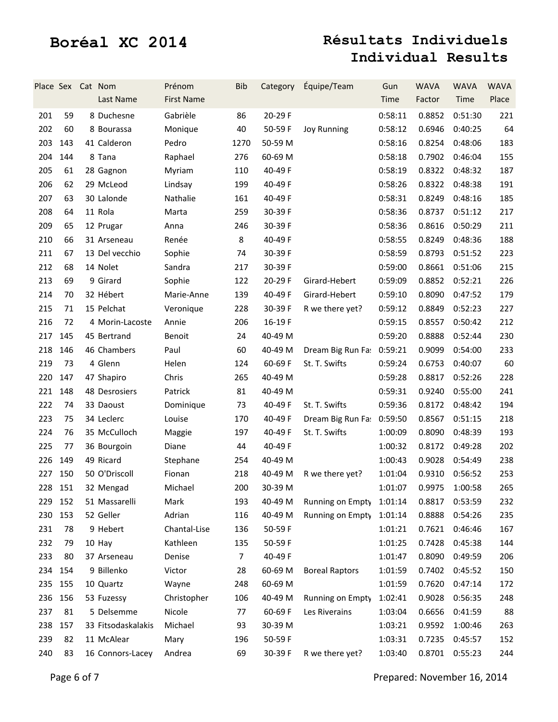| Place Sex Cat Nom |     | Last Name          | Prénom<br><b>First Name</b> | <b>Bib</b> | Category | Équipe/Team               | Gun<br>Time | <b>WAVA</b><br>Factor    | <b>WAVA</b><br>Time | <b>WAVA</b><br>Place |
|-------------------|-----|--------------------|-----------------------------|------------|----------|---------------------------|-------------|--------------------------|---------------------|----------------------|
| 201               | 59  | 8 Duchesne         | Gabrièle                    | 86         | 20-29 F  |                           | 0:58:11     | 0.8852                   | 0:51:30             | 221                  |
| 202               | 60  | 8 Bourassa         | Monique                     | 40         | 50-59 F  | <b>Joy Running</b>        | 0:58:12     | 0.6946                   | 0:40:25             | 64                   |
| 203               | 143 | 41 Calderon        | Pedro                       | 1270       | 50-59 M  |                           | 0:58:16     | 0.8254                   | 0:48:06             | 183                  |
| 204               | 144 | 8 Tana             | Raphael                     | 276        | 60-69 M  |                           | 0:58:18     | 0.7902                   | 0:46:04             | 155                  |
| 205               | 61  | 28 Gagnon          | Myriam                      | 110        | 40-49 F  |                           | 0:58:19     | 0.8322                   | 0:48:32             | 187                  |
| 206               | 62  | 29 McLeod          | Lindsay                     | 199        | 40-49 F  |                           | 0:58:26     | 0.8322                   | 0:48:38             | 191                  |
| 207               | 63  | 30 Lalonde         | Nathalie                    | 161        | 40-49 F  |                           | 0:58:31     | 0.8249                   | 0:48:16             | 185                  |
| 208               | 64  | 11 Rola            | Marta                       | 259        | 30-39 F  |                           | 0:58:36     | 0.8737                   | 0:51:12             | 217                  |
| 209               | 65  | 12 Prugar          | Anna                        | 246        | 30-39 F  |                           | 0:58:36     | 0.8616                   | 0:50:29             | 211                  |
| 210               | 66  | 31 Arseneau        | Renée                       | 8          | 40-49 F  |                           | 0:58:55     | 0.8249                   | 0:48:36             | 188                  |
| 211               | 67  | 13 Del vecchio     | Sophie                      | 74         | 30-39 F  |                           | 0:58:59     | 0.8793                   | 0:51:52             | 223                  |
| 212               | 68  | 14 Nolet           | Sandra                      | 217        | 30-39 F  |                           | 0:59:00     | 0.8661                   | 0:51:06             | 215                  |
| 213               | 69  | 9 Girard           | Sophie                      | 122        | 20-29 F  | Girard-Hebert             | 0:59:09     | 0.8852                   | 0:52:21             | 226                  |
| 214               | 70  | 32 Hébert          | Marie-Anne                  | 139        | 40-49 F  | Girard-Hebert             | 0:59:10     | 0.8090                   | 0:47:52             | 179                  |
| 215               | 71  | 15 Pelchat         | Veronique                   | 228        | 30-39 F  | R we there yet?           | 0:59:12     | 0.8849                   | 0:52:23             | 227                  |
| 216               | 72  | 4 Morin-Lacoste    | Annie                       | 206        | 16-19F   |                           | 0:59:15     | 0.8557                   | 0:50:42             | 212                  |
| 217               | 145 | 45 Bertrand        | Benoit                      | 24         | 40-49 M  |                           | 0:59:20     | 0.8888                   | 0:52:44             | 230                  |
| 218               | 146 | 46 Chambers        | Paul                        | 60         | 40-49 M  | Dream Big Run Fa: 0:59:21 |             | 0.9099                   | 0:54:00             | 233                  |
| 219               | 73  | 4 Glenn            | Helen                       | 124        | 60-69 F  | St. T. Swifts             | 0:59:24     | 0.6753                   | 0:40:07             | 60                   |
| 220               | 147 | 47 Shapiro         | Chris                       | 265        | 40-49 M  |                           | 0:59:28     | 0.8817                   | 0:52:26             | 228                  |
| 221               | 148 | 48 Desrosiers      | Patrick                     | 81         | 40-49 M  |                           | 0:59:31     | 0.9240                   | 0:55:00             | 241                  |
| 222               | 74  | 33 Daoust          | Dominique                   | 73         | 40-49 F  | St. T. Swifts             | 0:59:36     | 0.8172                   | 0:48:42             | 194                  |
| 223               | 75  | 34 Leclerc         | Louise                      | 170        | 40-49 F  | Dream Big Run Fas         | 0:59:50     | 0.8567                   | 0:51:15             | 218                  |
| 224               | 76  | 35 McCulloch       | Maggie                      | 197        | 40-49 F  | St. T. Swifts             | 1:00:09     | 0.8090                   | 0:48:39             | 193                  |
| 225               | 77  | 36 Bourgoin        | Diane                       | 44         | 40-49 F  |                           | 1:00:32     | 0.8172                   | 0:49:28             | 202                  |
| 226               | 149 | 49 Ricard          | Stephane                    | 254        | 40-49 M  |                           | 1:00:43     | 0.9028                   | 0:54:49             | 238                  |
| 227 150           |     | 50 O'Driscoll      | Fionan                      | 218        | 40-49 M  | R we there yet?           | 1:01:04     | 0.9310                   | 0:56:52             | 253                  |
| 228 151           |     | 32 Mengad          | Michael                     | 200        | 30-39 M  |                           |             | 1:01:07  0.9975  1:00:58 |                     | 265                  |
| 229 152           |     | 51 Massarelli      | Mark                        | 193        | 40-49 M  | Running on Empty          | 1:01:14     | 0.8817                   | 0:53:59             | 232                  |
| 230               | 153 | 52 Geller          | Adrian                      | 116        | 40-49 M  | Running on Empty          | 1:01:14     | 0.8888                   | 0:54:26             | 235                  |
| 231               | 78  | 9 Hebert           | Chantal-Lise                | 136        | 50-59 F  |                           | 1:01:21     | 0.7621                   | 0:46:46             | 167                  |
| 232               | 79  | 10 Hay             | Kathleen                    | 135        | 50-59 F  |                           | 1:01:25     | 0.7428                   | 0:45:38             | 144                  |
| 233               | 80  | 37 Arseneau        | Denise                      | 7          | 40-49 F  |                           | 1:01:47     | 0.8090                   | 0:49:59             | 206                  |
| 234               | 154 | 9 Billenko         | Victor                      | 28         | 60-69 M  | <b>Boreal Raptors</b>     | 1:01:59     | 0.7402                   | 0:45:52             | 150                  |
| 235               | 155 | 10 Quartz          | Wayne                       | 248        | 60-69 M  |                           | 1:01:59     | 0.7620                   | 0:47:14             | 172                  |
| 236               | 156 | 53 Fuzessy         | Christopher                 | 106        | 40-49 M  | Running on Empty          | 1:02:41     | 0.9028                   | 0:56:35             | 248                  |
| 237               | 81  | 5 Delsemme         | Nicole                      | 77         | 60-69 F  | Les Riverains             | 1:03:04     | 0.6656                   | 0:41:59             | 88                   |
| 238               | 157 | 33 Fitsodaskalakis | Michael                     | 93         | 30-39 M  |                           | 1:03:21     | 0.9592                   | 1:00:46             | 263                  |
| 239               | 82  | 11 McAlear         | Mary                        | 196        | 50-59 F  |                           | 1:03:31     | 0.7235                   | 0:45:57             | 152                  |
| 240               | 83  | 16 Connors-Lacey   | Andrea                      | 69         | 30-39 F  | R we there yet?           | 1:03:40     | 0.8701                   | 0:55:23             | 244                  |